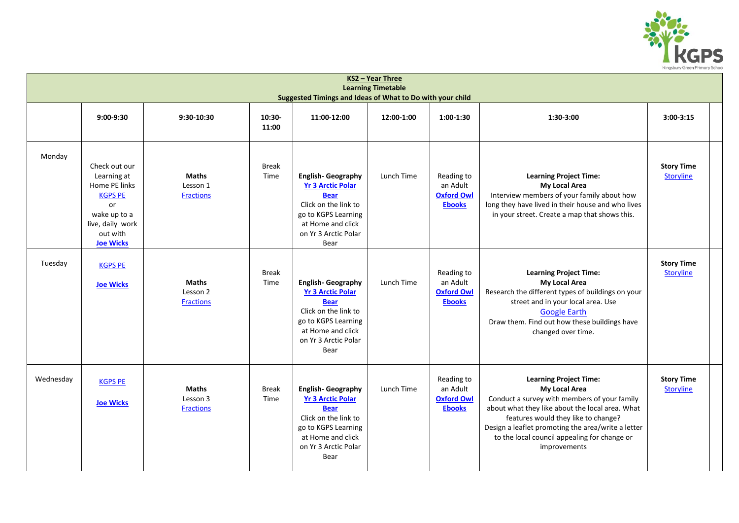

| KS2 - Year Three<br><b>Learning Timetable</b><br>Suggested Timings and Ideas of What to Do with your child |                                                                                                                                           |                                              |                      |                                                                                                                                                                         |            |                                                              |                                                                                                                                                                                                                                                                                                                |                                       |  |  |
|------------------------------------------------------------------------------------------------------------|-------------------------------------------------------------------------------------------------------------------------------------------|----------------------------------------------|----------------------|-------------------------------------------------------------------------------------------------------------------------------------------------------------------------|------------|--------------------------------------------------------------|----------------------------------------------------------------------------------------------------------------------------------------------------------------------------------------------------------------------------------------------------------------------------------------------------------------|---------------------------------------|--|--|
|                                                                                                            | $9:00-9:30$                                                                                                                               | 9:30-10:30                                   | 10:30-<br>11:00      | 11:00-12:00                                                                                                                                                             | 12:00-1:00 | $1:00-1:30$                                                  | 1:30-3:00                                                                                                                                                                                                                                                                                                      | $3:00-3:15$                           |  |  |
| Monday                                                                                                     | Check out our<br>Learning at<br>Home PE links<br><b>KGPS PE</b><br>or<br>wake up to a<br>live, daily work<br>out with<br><b>Joe Wicks</b> | <b>Maths</b><br>Lesson 1<br><b>Fractions</b> | <b>Break</b><br>Time | <b>English-Geography</b><br><b>Yr 3 Arctic Polar</b><br><b>Bear</b><br>Click on the link to<br>go to KGPS Learning<br>at Home and click<br>on Yr 3 Arctic Polar<br>Bear | Lunch Time | Reading to<br>an Adult<br><b>Oxford Owl</b><br><b>Ebooks</b> | <b>Learning Project Time:</b><br><b>My Local Area</b><br>Interview members of your family about how<br>long they have lived in their house and who lives<br>in your street. Create a map that shows this.                                                                                                      | <b>Story Time</b><br><b>Storyline</b> |  |  |
| Tuesday                                                                                                    | <b>KGPS PE</b><br><b>Joe Wicks</b>                                                                                                        | <b>Maths</b><br>Lesson 2<br><b>Fractions</b> | <b>Break</b><br>Time | <b>English-Geography</b><br><b>Yr 3 Arctic Polar</b><br><b>Bear</b><br>Click on the link to<br>go to KGPS Learning<br>at Home and click<br>on Yr 3 Arctic Polar<br>Bear | Lunch Time | Reading to<br>an Adult<br><b>Oxford Owl</b><br><b>Ebooks</b> | <b>Learning Project Time:</b><br><b>My Local Area</b><br>Research the different types of buildings on your<br>street and in your local area. Use<br><b>Google Earth</b><br>Draw them. Find out how these buildings have<br>changed over time.                                                                  | <b>Story Time</b><br><b>Storyline</b> |  |  |
| Wednesday                                                                                                  | <b>KGPS PE</b><br><b>Joe Wicks</b>                                                                                                        | <b>Maths</b><br>Lesson 3<br><b>Fractions</b> | <b>Break</b><br>Time | <b>English-Geography</b><br><b>Yr 3 Arctic Polar</b><br><b>Bear</b><br>Click on the link to<br>go to KGPS Learning<br>at Home and click<br>on Yr 3 Arctic Polar<br>Bear | Lunch Time | Reading to<br>an Adult<br><b>Oxford Owl</b><br><b>Ebooks</b> | <b>Learning Project Time:</b><br>My Local Area<br>Conduct a survey with members of your family<br>about what they like about the local area. What<br>features would they like to change?<br>Design a leaflet promoting the area/write a letter<br>to the local council appealing for change or<br>improvements | <b>Story Time</b><br><b>Storyline</b> |  |  |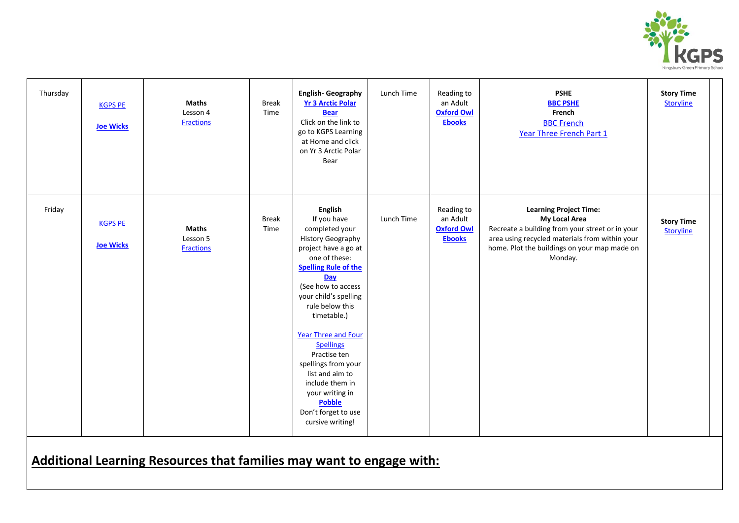

| Thursday | <b>KGPS PE</b><br><b>Joe Wicks</b> | <b>Maths</b><br>Lesson 4<br><b>Fractions</b> | Break<br>Time        | <b>English-Geography</b><br><b>Yr 3 Arctic Polar</b><br><b>Bear</b><br>Click on the link to<br>go to KGPS Learning<br>at Home and click<br>on Yr 3 Arctic Polar<br>Bear                                                                                                                                                                                                                                                              | Lunch Time | Reading to<br>an Adult<br><b>Oxford Owl</b><br><b>Ebooks</b> | <b>PSHE</b><br><b>BBC PSHE</b><br>French<br><b>BBC French</b><br>Year Three French Part 1                                                                                                                      | <b>Story Time</b><br><b>Storyline</b> |
|----------|------------------------------------|----------------------------------------------|----------------------|--------------------------------------------------------------------------------------------------------------------------------------------------------------------------------------------------------------------------------------------------------------------------------------------------------------------------------------------------------------------------------------------------------------------------------------|------------|--------------------------------------------------------------|----------------------------------------------------------------------------------------------------------------------------------------------------------------------------------------------------------------|---------------------------------------|
| Friday   | <b>KGPS PE</b><br><b>Joe Wicks</b> | <b>Maths</b><br>Lesson 5<br><b>Fractions</b> | <b>Break</b><br>Time | English<br>If you have<br>completed your<br>History Geography<br>project have a go at<br>one of these:<br><b>Spelling Rule of the</b><br>Day<br>(See how to access<br>your child's spelling<br>rule below this<br>timetable.)<br>Year Three and Four<br><b>Spellings</b><br>Practise ten<br>spellings from your<br>list and aim to<br>include them in<br>your writing in<br><b>Pobble</b><br>Don't forget to use<br>cursive writing! | Lunch Time | Reading to<br>an Adult<br><b>Oxford Owl</b><br><b>Ebooks</b> | <b>Learning Project Time:</b><br>My Local Area<br>Recreate a building from your street or in your<br>area using recycled materials from within your<br>home. Plot the buildings on your map made on<br>Monday. | <b>Story Time</b><br><b>Storyline</b> |

# **Additional Learning Resources that families may want to engage with:**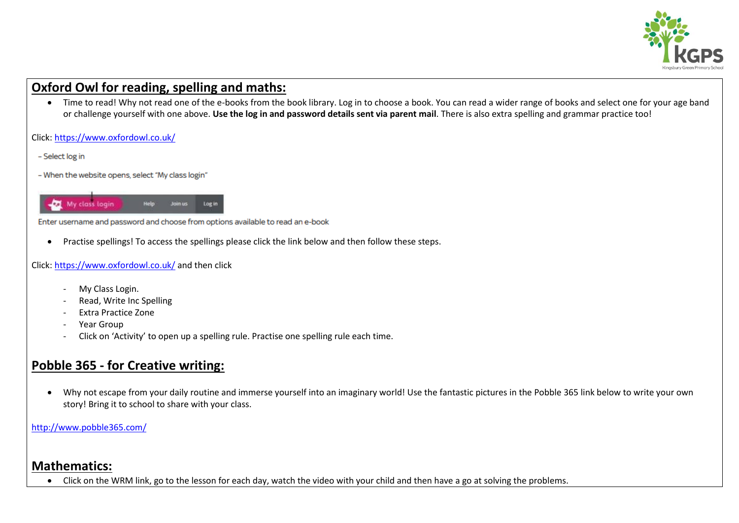

## **Oxford Owl for reading, spelling and maths:**

• Time to read! Why not read one of the e-books from the book library. Log in to choose a book. You can read a wider range of books and select one for your age band or challenge yourself with one above. **Use the log in and password details sent via parent mail**. There is also extra spelling and grammar practice too!

Click:<https://www.oxfordowl.co.uk/>

- Select log in
- When the website opens, select "My class login"



Enter username and password and choose from options available to read an e-book

Practise spellings! To access the spellings please click the link below and then follow these steps.

Click:<https://www.oxfordowl.co.uk/> and then click

- My Class Login.
- Read, Write Inc Spelling
- Extra Practice Zone
- Year Group
- Click on 'Activity' to open up a spelling rule. Practise one spelling rule each time.

## **Pobble 365 - for Creative writing:**

 Why not escape from your daily routine and immerse yourself into an imaginary world! Use the fantastic pictures in the Pobble 365 link below to write your own story! Bring it to school to share with your class.

<http://www.pobble365.com/>

### **Mathematics:**

Click on the WRM link, go to the lesson for each day, watch the video with your child and then have a go at solving the problems.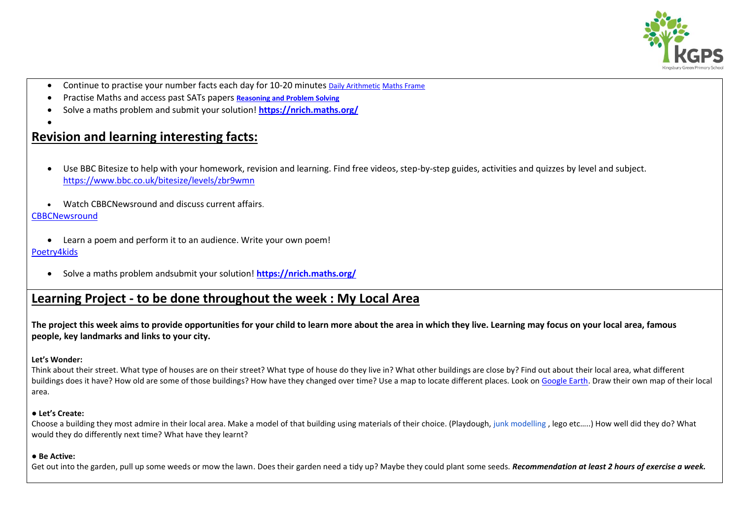

- Continue to practise your number facts each day for 10-20 minutes [Daily Arithmetic](https://www.topmarks.co.uk/maths-games/daily10) [Maths Frame](https://mathsframe.co.uk/)
- Practise Maths and access past SATs papers **[Reasoning and Problem Solving](https://primarysite-prod-sorted.s3.amazonaws.com/springcroft-primary-school/UploadedDocument/915522a464444cfa96a70bc9bdaee45d/ultimate-ks2-maths-sats-organiser-y6-daily-mini-videos-puzzles-for-y5.pdf)**
- Solve a maths problem and submit your solution! **<https://nrich.maths.org/>**

# **Revision and learning interesting facts:**

- Use BBC Bitesize to help with your homework, revision and learning. Find free videos, step-by-step guides, activities and quizzes by level and subject. <https://www.bbc.co.uk/bitesize/levels/zbr9wmn>
- Watch CBBCNewsround and discuss current affairs.

#### **[CBBCNewsround](https://www.bbc.co.uk/newsround)**

 $\bullet$ 

- Learn a poem and perform it to an audience. Write your own poem! [Poetry4kids](https://www.poetry4kids.com/)
	- Solve a maths problem andsubmit your solution! **<https://nrich.maths.org/>**

### **Learning Project - to be done throughout the week : My Local Area**

**The project this week aims to provide opportunities for your child to learn more about the area in which they live. Learning may focus on your local area, famous people, key landmarks and links to your city.**

#### **Let's Wonder:**

Think about their street. What type of houses are on their street? What type of house do they live in? What other buildings are close by? Find out about their local area, what different buildings does it have? How old are some of those buildings? How have they changed over time? Use a map to locate different places. Look on [Google Earth.](https://www.google.co.uk/intl/en_uk/earth/) Draw their own map of their local area.

#### ● **Let's Create:**

Choose a building they most admire in their local area. Make a model of that building using materials of their choice. (Playdough, junk modelling , lego etc…..) How well did they do? What would they do differently next time? What have they learnt?

#### **● Be Active:**

Get out into the garden, pull up some weeds or mow the lawn. Does their garden need a tidy up? Maybe they could plant some seeds. **Recommendation at least 2 hours of exercise a week.**